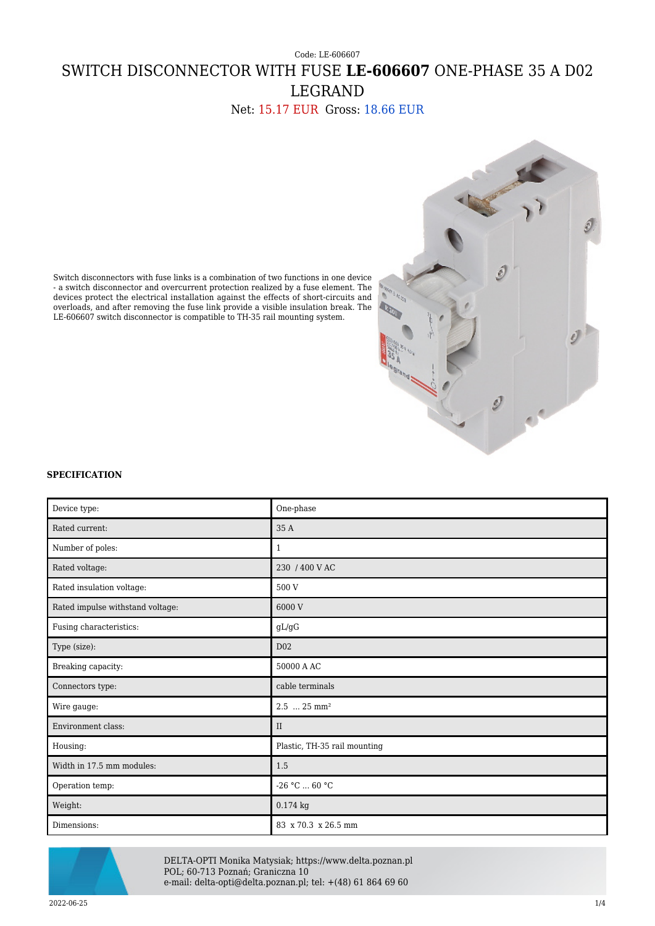# Code: LE-606607 SWITCH DISCONNECTOR WITH FUSE **LE-606607** ONE-PHASE 35 A D02 LEGRAND

Net: 15.17 EUR Gross: 18.66 EUR



Switch disconnectors with fuse links is a combination of two functions in one device - a switch disconnector and overcurrent protection realized by a fuse element. The devices protect the electrical installation against the effects of short-circuits and overloads, and after removing the fuse link provide a visible insulation break. The LE-606607 switch disconnector is compatible to TH-35 rail mounting system.

### **SPECIFICATION**

| Device type:                     | One-phase                    |
|----------------------------------|------------------------------|
| Rated current:                   | 35 A                         |
| Number of poles:                 | $\mathbf{1}$                 |
| Rated voltage:                   | 230 / 400 V AC               |
| Rated insulation voltage:        | 500 V                        |
| Rated impulse withstand voltage: | 6000 V                       |
| Fusing characteristics:          | $\mathrm{gL}/\mathrm{gG}$    |
| Type (size):                     | D <sub>02</sub>              |
| Breaking capacity:               | 50000 A AC                   |
| Connectors type:                 | cable terminals              |
| Wire gauge:                      | 2.5  25 mm <sup>2</sup>      |
| Environment class:               | II                           |
| Housing:                         | Plastic, TH-35 rail mounting |
| Width in 17.5 mm modules:        | 1.5                          |
| Operation temp:                  | $-26$ °C $\ldots$ 60 °C      |
| Weight:                          | $0.174$ kg                   |
| Dimensions:                      | 83 x 70.3 x 26.5 mm          |



DELTA-OPTI Monika Matysiak; https://www.delta.poznan.pl POL; 60-713 Poznań; Graniczna 10 e-mail: delta-opti@delta.poznan.pl; tel: +(48) 61 864 69 60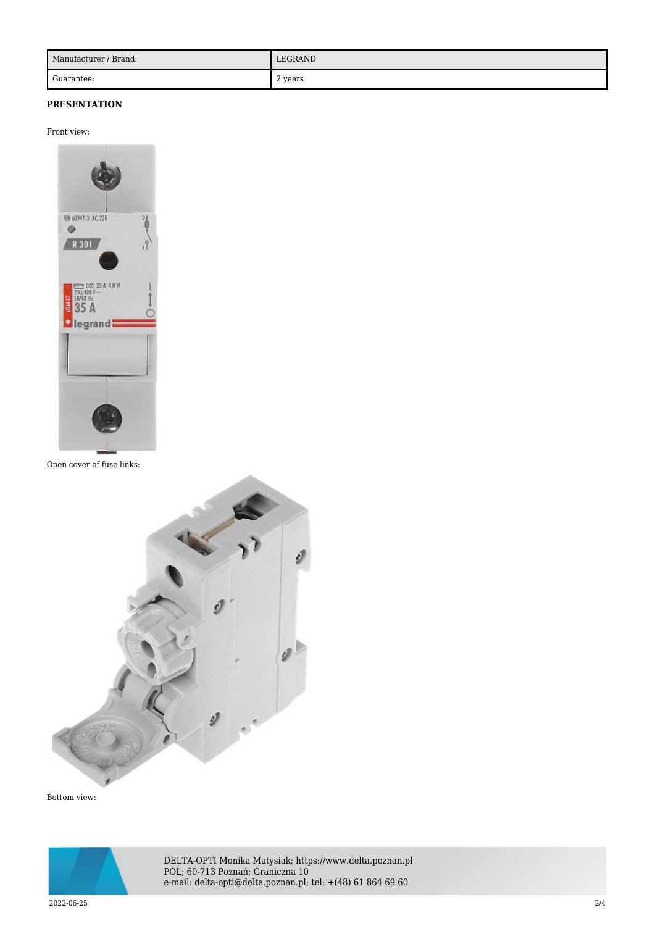| Manufacturer / Brand: | LEGRAND |
|-----------------------|---------|
| Guarantee:            | 2 years |

## **PRESENTATION**

#### Front view:



Open cover of fuse links:



Bottom view:



DELTA-OPTI Monika Matysiak; https://www.delta.poznan.pl POL; 60-713 Poznań; Graniczna 10 e-mail: delta-opti@delta.poznan.pl; tel: +(48) 61 864 69 60

2022-06-25 2/4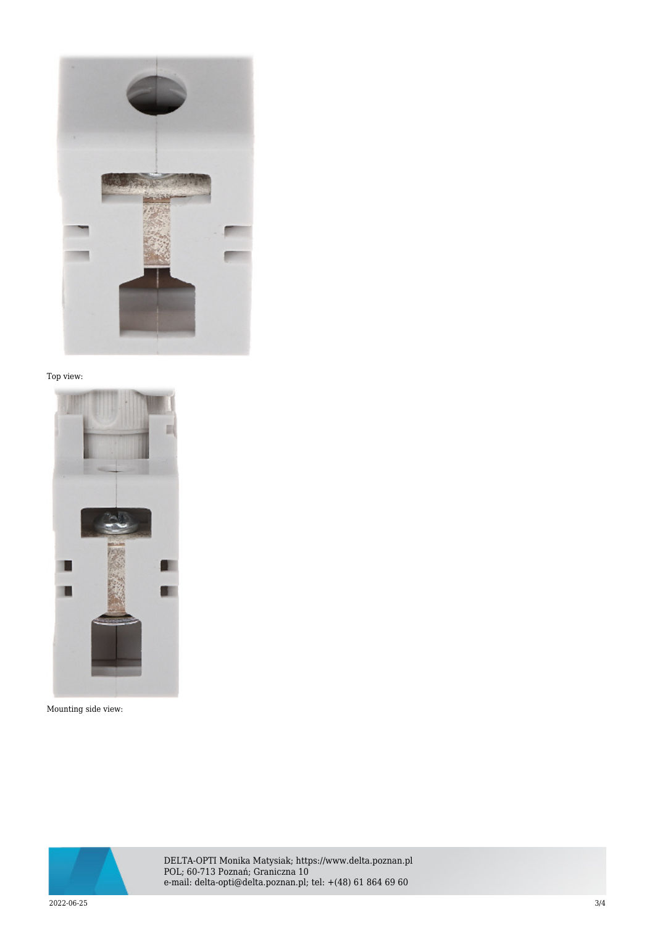

### Top view:



Mounting side view:



DELTA-OPTI Monika Matysiak; https://www.delta.poznan.pl POL; 60-713 Poznań; Graniczna 10 e-mail: delta-opti@delta.poznan.pl; tel: +(48) 61 864 69 60

2022-06-25 3/4